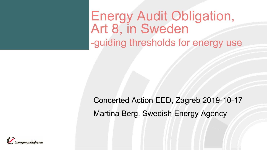Energy Audit Obligation, Art 8, in Sweden -guiding thresholds for energy use

### Concerted Action EED, Zagreb 2019-10-17 Martina Berg, Swedish Energy Agency

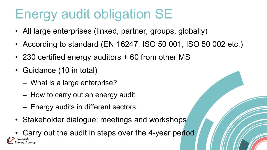## Energy audit obligation SE

- All large enterprises (linked, partner, groups, globally)
- According to standard (EN 16247, ISO 50 001, ISO 50 002 etc.)
- 230 certified energy auditors + 60 from other MS
- Guidance (10 in total)
	- What is a large enterprise?
	- How to carry out an energy audit
	- Energy audits in different sectors
- Stakeholder dialogue: meetings and workshops
- Carry out the audit in steps over the 4-year period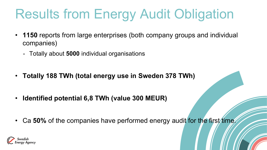# Results from Energy Audit Obligation

- **1150** reports from large enterprises (both company groups and individual companies)
	- Totally about **5000** individual organisations
- **Totally 188 TWh (total energy use in Sweden 378 TWh)**
- **Identified potential 6,8 TWh (value 300 MEUR)**
- Ca **50%** of the companies have performed energy audit for the first time.

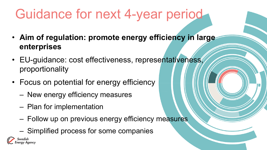## Guidance for next 4-year period

- **Aim of regulation: promote energy efficiency in large enterprises**
- EU-guidance: cost effectiveness, representativeness, proportionality
- Focus on potential for energy efficiency
	- New energy efficiency measures
	- Plan for implementation
	- Follow up on previous energy efficiency measures
	- Simplified process for some companies

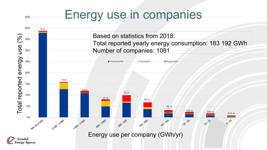### Energy use in companies

45%

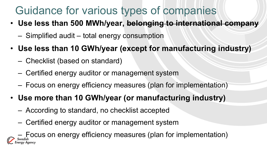### Guidance for various types of companies

- **Use less than 500 MWh/year, belonging to international company**
	- Simplified audit total energy consumption
- **Use less than 10 GWh/year (except for manufacturing industry)**
	- Checklist (based on standard)
	- Certified energy auditor or management system
	- Focus on energy efficiency measures (plan for implementation)
- **Use more than 10 GWh/year (or manufacturing industry)**
	- According to standard, no checklist accepted
	- Certified energy auditor or management system

– Focus on energy efficiency measures (plan for implementation)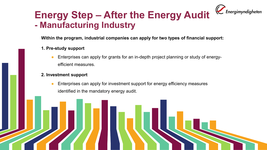### **Energy Step – After the Energy Audit - Manufacturing Industry**

**Within the program, industrial companies can apply for two types of financial support:**

Energimyndigheten

- **1. Pre-study support**
	- Enterprises can apply for grants for an in-depth project planning or study of energyefficient measures.
- **2. Investment support**
	- Enterprises can apply for investment support for energy efficiency measures identified in the mandatory energy audit.